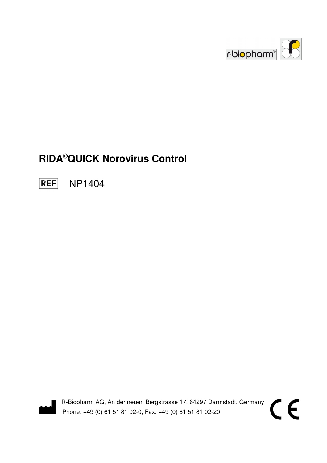

CE

# **RIDA®QUICK Norovirus Control**

**REF** NP1404



R-Biopharm AG, An der neuen Bergstrasse 17, 64297 Darmstadt, Germany Phone: +49 (0) 61 51 81 02-0, Fax: +49 (0) 61 51 81 02-20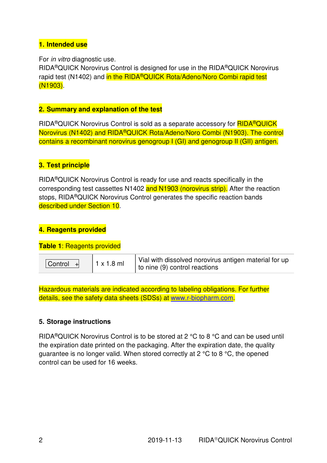## **1. Intended use**

For in vitro diagnostic use.

RIDA®QUICK Norovirus Control is designed for use in the RIDA®QUICK Norovirus rapid test (N1402) and in the RIDA<sup>®</sup>QUICK Rota/Adeno/Noro Combi rapid test (N1903).

## **2. Summary and explanation of the test**

RIDA<sup>®</sup>QUICK Norovirus Control is sold as a separate accessory for **RIDA<sup>®</sup>QUICK** Norovirus (N1402) and RIDA®QUICK Rota/Adeno/Noro Combi (N1903). The control contains a recombinant norovirus genogroup I (GI) and genogroup II (GII) antigen.

# **3. Test principle**

RIDA®QUICK Norovirus Control is ready for use and reacts specifically in the corresponding test cassettes N1402 and N1903 (norovirus strip). After the reaction stops, RIDA®QUICK Norovirus Control generates the specific reaction bands described under Section 10.

## **4. Reagents provided**

#### **Table 1**: Reagents provided

| $ $ Control $ $ + | $1 x 1.8$ ml | Vial with dissolved norovirus antigen material for up<br>to nine $(9)$ control reactions |
|-------------------|--------------|------------------------------------------------------------------------------------------|
|-------------------|--------------|------------------------------------------------------------------------------------------|

Hazardous materials are indicated according to labeling obligations. For further details, see the safety data sheets (SDSs) at www.r-biopharm.com.

#### **5. Storage instructions**

RIDA®QUICK Norovirus Control is to be stored at 2 °C to 8 °C and can be used until the expiration date printed on the packaging. After the expiration date, the quality guarantee is no longer valid. When stored correctly at 2 °C to 8 °C, the opened control can be used for 16 weeks.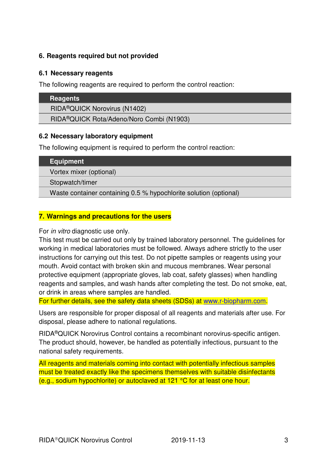## **6. Reagents required but not provided**

#### **6.1 Necessary reagents**

The following reagents are required to perform the control reaction:

| RIDA <sup>®</sup> QUICK Norovirus (N1402)             |
|-------------------------------------------------------|
| RIDA <sup>®</sup> QUICK Rota/Adeno/Noro Combi (N1903) |
|                                                       |

#### **6.2 Necessary laboratory equipment**

The following equipment is required to perform the control reaction:

| <b>Equipment</b>                                                  |  |  |
|-------------------------------------------------------------------|--|--|
| Vortex mixer (optional)                                           |  |  |
| Stopwatch/timer                                                   |  |  |
| Waste container containing 0.5 % hypochlorite solution (optional) |  |  |
|                                                                   |  |  |

## **7. Warnings and precautions for the users**

For in vitro diagnostic use only.

This test must be carried out only by trained laboratory personnel. The guidelines for working in medical laboratories must be followed. Always adhere strictly to the user instructions for carrying out this test. Do not pipette samples or reagents using your mouth. Avoid contact with broken skin and mucous membranes. Wear personal protective equipment (appropriate gloves, lab coat, safety glasses) when handling reagents and samples, and wash hands after completing the test. Do not smoke, eat, or drink in areas where samples are handled.

For further details, see the safety data sheets (SDSs) at www.r-biopharm.com.

Users are responsible for proper disposal of all reagents and materials after use. For disposal, please adhere to national regulations.

RIDA®QUICK Norovirus Control contains a recombinant norovirus-specific antigen. The product should, however, be handled as potentially infectious, pursuant to the national safety requirements.

All reagents and materials coming into contact with potentially infectious samples must be treated exactly like the specimens themselves with suitable disinfectants (e.g., sodium hypochlorite) or autoclaved at 121 °C for at least one hour.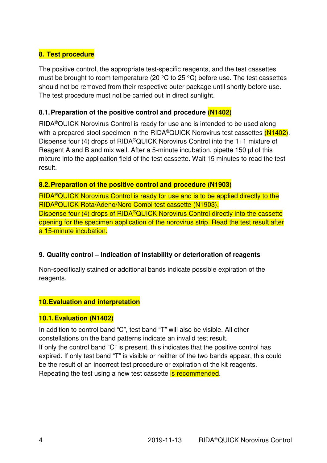## **8. Test procedure**

The positive control, the appropriate test-specific reagents, and the test cassettes must be brought to room temperature (20 °C to 25 °C) before use. The test cassettes should not be removed from their respective outer package until shortly before use. The test procedure must not be carried out in direct sunlight.

## **8.1. Preparation of the positive control and procedure (N1402)**

RIDA®QUICK Norovirus Control is ready for use and is intended to be used along with a prepared stool specimen in the RIDA®QUICK Norovirus test cassettes (N1402). Dispense four (4) drops of RIDA®QUICK Norovirus Control into the 1+1 mixture of Reagent A and B and mix well. After a 5-minute incubation, pipette 150 µl of this mixture into the application field of the test cassette. Wait 15 minutes to read the test result.

#### **8.2. Preparation of the positive control and procedure (N1903)**

RIDA®QUICK Norovirus Control is ready for use and is to be applied directly to the RIDA®QUICK Rota/Adeno/Noro Combi test cassette (N1903). Dispense four (4) drops of RIDA<sup>®</sup>QUICK Norovirus Control directly into the cassette opening for the specimen application of the norovirus strip. Read the test result after a 15-minute incubation.

#### **9. Quality control – Indication of instability or deterioration of reagents**

Non-specifically stained or additional bands indicate possible expiration of the reagents.

## **10. Evaluation and interpretation**

#### **10.1. Evaluation (N1402)**

In addition to control band "C", test band "T" will also be visible. All other constellations on the band patterns indicate an invalid test result. If only the control band "C" is present, this indicates that the positive control has expired. If only test band "T" is visible or neither of the two bands appear, this could be the result of an incorrect test procedure or expiration of the kit reagents. Repeating the test using a new test cassette is recommended.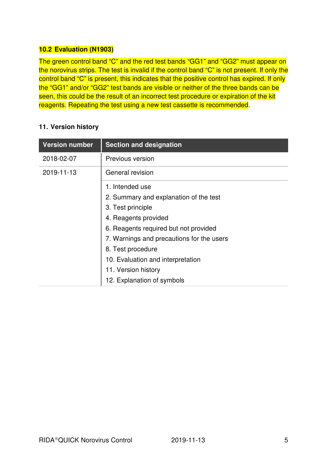## **10.2 Evaluation (N1903)**

The green control band "C" and the red test bands "GG1" and "GG2" must appear on the norovirus strips. The test is invalid if the control band "C" is not present. If only the control band "C" is present, this indicates that the positive control has expired. If only the "GG1" and/or "GG2" test bands are visible or neither of the three bands can be seen, this could be the result of an incorrect test procedure or expiration of the kit reagents. Repeating the test using a new test cassette is recommended.

## **11. Version history**

| <b>Version number</b> | <b>Section and designation</b>            |
|-----------------------|-------------------------------------------|
| 2018-02-07            | Previous version                          |
| 2019-11-13            | General revision                          |
|                       | 1. Intended use                           |
|                       | 2. Summary and explanation of the test    |
|                       | 3. Test principle                         |
|                       | 4. Reagents provided                      |
|                       | 6. Reagents required but not provided     |
|                       | 7. Warnings and precautions for the users |
|                       | 8. Test procedure                         |
|                       | 10. Evaluation and interpretation         |
|                       | 11. Version history                       |
|                       | 12. Explanation of symbols                |